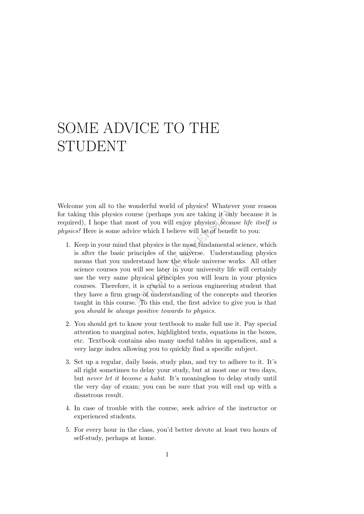## SOME ADVICE TO THE STUDENT

Welcome you all to the wonderful world of physics! Whatever your reason for taking this physics course (perhaps you are taking it only because it is required), I hope that most of you will enjoy physics, because life itself is physics! Here is some advice which I believe will be of benefit to you:

- voluterial world of physics. Whatev<br>urse (perhaps you are taking it only<br>ost of you will enjoy physics, *becau*<br>ice which I believe will be of benefi<br>hat physics is the most fundamental<br>rinciples of the universe. Understat 1. Keep in your mind that physics is the most fundamental science, which is after the basic principles of the universe. Understanding physics means that you understand how the whole universe works. All other science courses you will see later in your university life will certainly use the very same physical principles you will learn in your physics courses. Therefore, it is crucial to a serious engineering student that they have a firm grasp of understanding of the concepts and theories taught in this course.  $\Box$  To this end, the first advice to give you is that you should be always positive towards to physics.
- 2. You should get to know your textbook to make full use it. Pay special attention to marginal notes, highlighted texts, equations in the boxes, etc. Textbook contains also many useful tables in appendices, and a very large index allowing you to quickly find a specific subject.
- 3. Set up a regular, daily basis, study plan, and try to adhere to it. It's all right sometimes to delay your study, but at most one or two days, but never let it become a habit. It's meaningless to delay study until the very day of exam; you can be sure that you will end up with a disastrous result.
- 4. In case of trouble with the course, seek advice of the instructor or experienced students.
- 5. For every hour in the class, you'd better devote at least two hours of self-study, perhaps at home.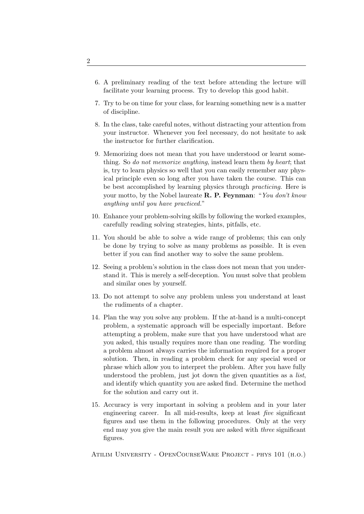- 6. A preliminary reading of the text before attending the lecture will facilitate your learning process. Try to develop this good habit.
- 7. Try to be on time for your class, for learning something new is a matter of discipline.
- 8. In the class, take careful notes, without distracting your attention from your instructor. Whenever you feel necessary, do not hesitate to ask the instructor for further clarification.
- 9. Memorizing does not mean that you have understood or learnt something. So do not memorize anything, instead learn them by heart; that is, try to learn physics so well that you can easily remember any physical principle even so long after you have taken the course. This can be best accomplished by learning physics through practicing. Here is your motto, by the Nobel laureate **R. P. Feynman**: "You don't know anything until you have practiced."
- 10. Enhance your problem-solving skills by following the worked examples, carefully reading solving strategies, hints, pitfalls, etc.
- 11. You should be able to solve a wide range of problems; this can only be done by trying to solve as many problems as possible. It is even better if you can find another way to solve the same problem.
- 12. Seeing a problem's solution in the class does not mean that you understand it. This is merely a self-deception. You must solve that problem and similar ones by yourself.
- 13. Do not attempt to solve any problem unless you understand at least the rudiments of a chapter.
- 14. Plan the way you solve any problem. If the at-hand is a multi-concept problem, a systematic approach will be especially important. Before attempting a problem, make sure that you have understood what are you asked, this usually requires more than one reading. The wording a problem almost always carries the information required for a proper solution. Then, in reading a problem check for any special word or phrase which allow you to interpret the problem. After you have fully understood the problem, just jot down the given quantities as a *list*, and identify which quantity you are asked find. Determine the method for the solution and carry out it.
- 15. Accuracy is very important in solving a problem and in your later engineering career. In all mid-results, keep at least five significant figures and use them in the following procedures. Only at the very end may you give the main result you are asked with three significant figures.

Atilim University - OpenCourseWare Project - phys 101 (h.o.)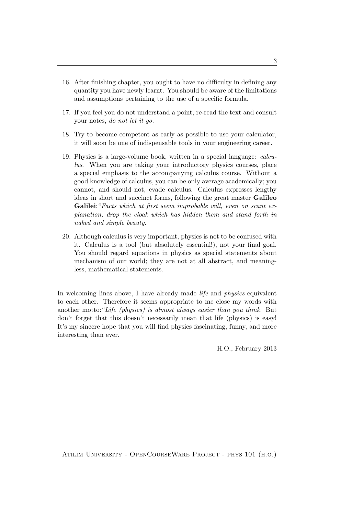- 16. After finishing chapter, you ought to have no difficulty in defining any quantity you have newly learnt. You should be aware of the limitations and assumptions pertaining to the use of a specific formula.
- 17. If you feel you do not understand a point, re-read the text and consult your notes, do not let it go.
- 18. Try to become competent as early as possible to use your calculator, it will soon be one of indispensable tools in your engineering career.
- 19. Physics is a large-volume book, written in a special language: calculus. When you are taking your introductory physics courses, place a special emphasis to the accompanying calculus course. Without a good knowledge of calculus, you can be only average academically; you cannot, and should not, evade calculus. Calculus expresses lengthy ideas in short and succinct forms, following the great master Galileo Galilei: "Facts which at first seem improbable will, even on scant explanation, drop the cloak which has hidden them and stand forth in naked and simple beauty.
- 20. Although calculus is very important, physics is not to be confused with it. Calculus is a tool (but absolutely essential!), not your final goal. You should regard equations in physics as special statements about mechanism of our world; they are not at all abstract, and meaningless, mathematical statements.

In welcoming lines above, I have already made *life* and *physics* equivalent to each other. Therefore it seems appropriate to me close my words with another motto:"Life (physics) is almost always easier than you think. But don't forget that this doesn't necessarily mean that life (physics) is easy! It's my sincere hope that you will find physics fascinating, funny, and more interesting than ever.

H.O., February 2013

Atilim University - OpenCourseWare Project - phys 101 (h.o.)